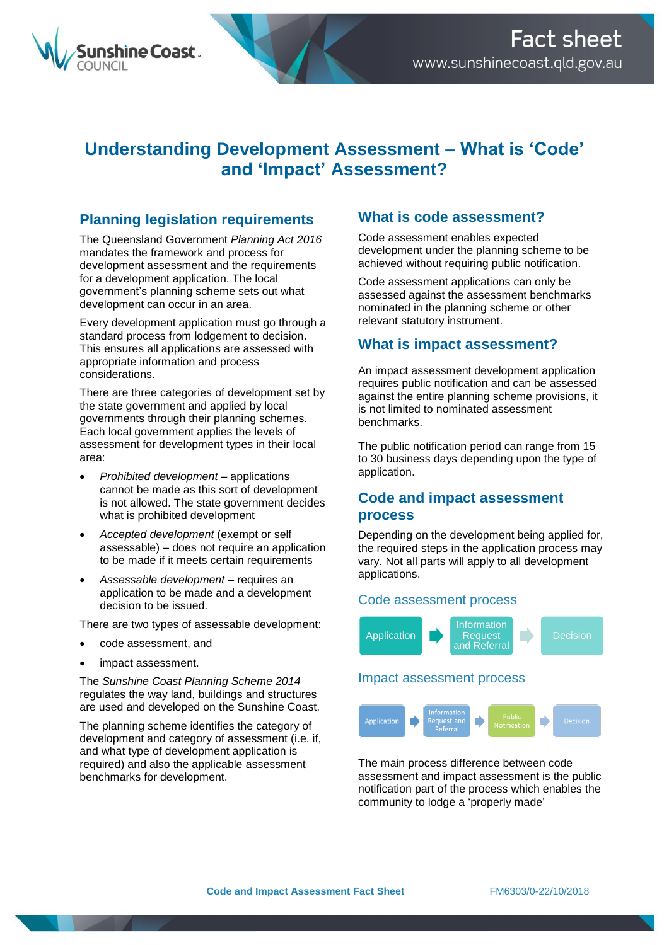

# **Understanding Development Assessment – What is 'Code' and 'Impact' Assessment?**

### **Planning legislation requirements**

The Queensland Government *Planning Act 2016* mandates the framework and process for development assessment and the requirements for a development application. The local government's planning scheme sets out what development can occur in an area.

Every development application must go through a standard process from lodgement to decision. This ensures all applications are assessed with appropriate information and process considerations.

There are three categories of development set by the state government and applied by local governments through their planning schemes. Each local government applies the levels of assessment for development types in their local area:

- *Prohibited development* applications cannot be made as this sort of development is not allowed. The state government decides what is prohibited development
- *Accepted development* (exempt or self assessable) – does not require an application to be made if it meets certain requirements
- *Assessable development* requires an application to be made and a development decision to be issued.

There are two types of assessable development:

- code assessment, and
- impact assessment.

The *Sunshine Coast Planning Scheme 2014* regulates the way land, buildings and structures are used and developed on the Sunshine Coast.

The planning scheme identifies the category of development and category of assessment (i.e. if, and what type of development application is required) and also the applicable assessment benchmarks for development.

### **What is code assessment?**

Code assessment enables expected development under the planning scheme to be achieved without requiring public notification.

Code assessment applications can only be assessed against the assessment benchmarks nominated in the planning scheme or other relevant statutory instrument.

### **What is impact assessment?**

An impact assessment development application requires public notification and can be assessed against the entire planning scheme provisions, it is not limited to nominated assessment benchmarks.

The public notification period can range from 15 to 30 business days depending upon the type of application.

### **Code and impact assessment process**

Depending on the development being applied for, the required steps in the application process may vary. Not all parts will apply to all development applications.

#### Code assessment process



The main process difference between code assessment and impact assessment is the public notification part of the process which enables the community to lodge a 'properly made'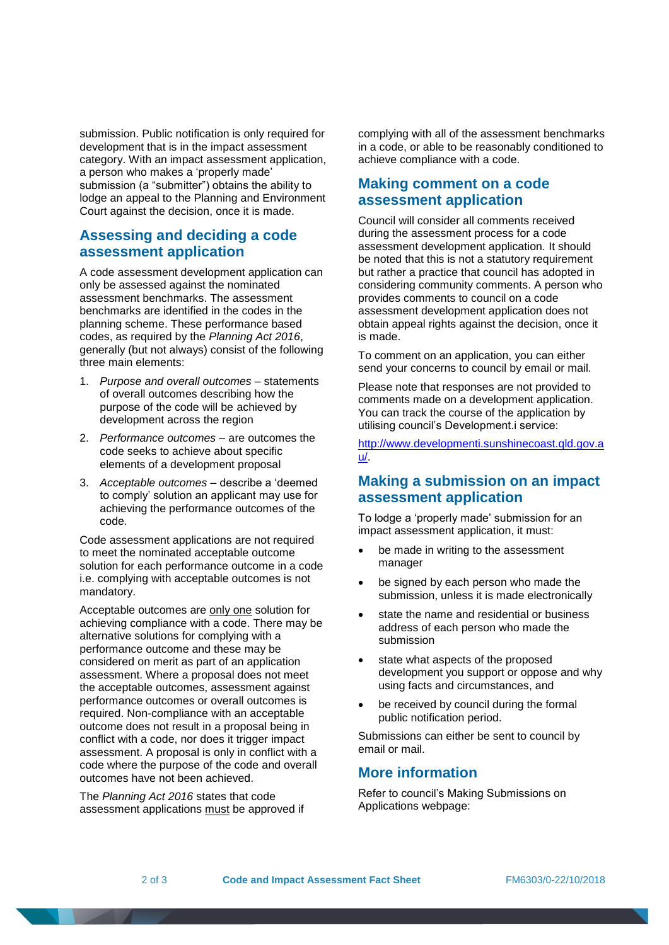submission. Public notification is only required for development that is in the impact assessment category. With an impact assessment application, a person who makes a 'properly made' submission (a "submitter") obtains the ability to lodge an appeal to the Planning and Environment Court against the decision, once it is made.

## **Assessing and deciding a code assessment application**

A code assessment development application can only be assessed against the nominated assessment benchmarks. The assessment benchmarks are identified in the codes in the planning scheme. These performance based codes, as required by the *Planning Act 2016*, generally (but not always) consist of the following three main elements:

- 1. *Purpose and overall outcomes* statements of overall outcomes describing how the purpose of the code will be achieved by development across the region
- 2. *Performance outcomes* are outcomes the code seeks to achieve about specific elements of a development proposal
- 3. *Acceptable outcomes* describe a 'deemed to comply' solution an applicant may use for achieving the performance outcomes of the code.

Code assessment applications are not required to meet the nominated acceptable outcome solution for each performance outcome in a code i.e. complying with acceptable outcomes is not mandatory.

Acceptable outcomes are only one solution for achieving compliance with a code. There may be alternative solutions for complying with a performance outcome and these may be considered on merit as part of an application assessment. Where a proposal does not meet the acceptable outcomes, assessment against performance outcomes or overall outcomes is required. Non-compliance with an acceptable outcome does not result in a proposal being in conflict with a code, nor does it trigger impact assessment. A proposal is only in conflict with a code where the purpose of the code and overall outcomes have not been achieved.

The *Planning Act 2016* states that code assessment applications must be approved if complying with all of the assessment benchmarks in a code, or able to be reasonably conditioned to achieve compliance with a code.

### **Making comment on a code assessment application**

Council will consider all comments received during the assessment process for a code assessment development application. It should be noted that this is not a statutory requirement but rather a practice that council has adopted in considering community comments. A person who provides comments to council on a code assessment development application does not obtain appeal rights against the decision, once it is made.

To comment on an application, you can either send your concerns to council by email or mail.

Please note that responses are not provided to comments made on a development application. You can track the course of the application by utilising council's Development.i service:

[http://www.developmenti.sunshinecoast.qld.gov.a](http://www.developmenti.sunshinecoast.qld.gov.au/) [u/.](http://www.developmenti.sunshinecoast.qld.gov.au/)

### **Making a submission on an impact assessment application**

To lodge a 'properly made' submission for an impact assessment application, it must:

- be made in writing to the assessment manager
- be signed by each person who made the submission, unless it is made electronically
- state the name and residential or business address of each person who made the submission
- state what aspects of the proposed development you support or oppose and why using facts and circumstances, and
- be received by council during the formal public notification period.

Submissions can either be sent to council by email or mail.

### **More information**

Refer to council's Making Submissions on Applications webpage: